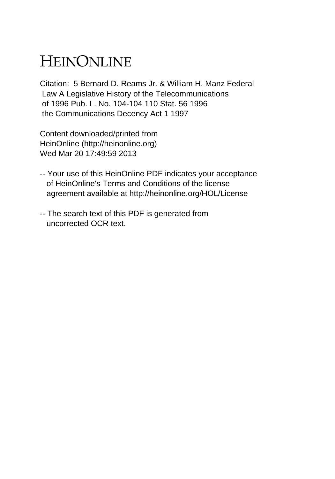## HEINONLINE

Citation: 5 Bernard D. Reams Jr. & William H. Manz Federal Law A Legislative History of the Telecommunications of 1996 Pub. L. No. 104-104 110 Stat. 56 1996 the Communications Decency Act 1 1997

Content downloaded/printed from HeinOnline (http://heinonline.org) Wed Mar 20 17:49:59 2013

- -- Your use of this HeinOnline PDF indicates your acceptance of HeinOnline's Terms and Conditions of the license agreement available at http://heinonline.org/HOL/License
- -- The search text of this PDF is generated from uncorrected OCR text.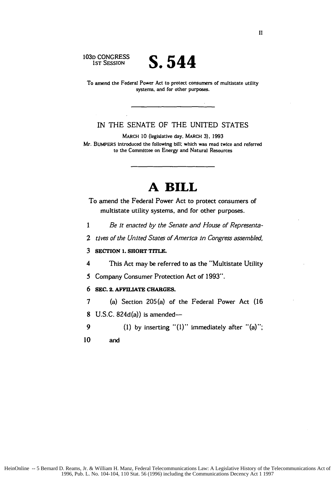**103D** CONGRESS

**IST SESSION S.544**

To amend the Federal Power Act to protect consumers **of** multistate utility systems, and for other purposes.

IN THE SENATE OF THE UNITED **STATES**

MARCH **10** (legislative day, MARCH **3). 1993** Mr. BUMPERS introduced the following **bill:** which was read twice and referred to the Committee on Energy and Natural Resources

## **A BILL**

To amend the Federal Power Act to protect consumers of multistate utility systems, and for other purposes.

1 *Be it enacted by the Senate and House of Representa-*

2 *tives of the United States of America in Congress assembled*

## **3 SECTION 1. SHORT TITLE.**

4 This Act may be referred to as the "Multistate Utility

*5* Company Consumer Protection Act of 1993".

## **6 SEC. 2. AFFILIATE CHARGES.**

7 (a) Section 205(a) of the Federal Power Act (16 8 U.S.C.  $824d(a)$ ) is amended-

9 (1) by inserting "(1)" immediately after "(a)";

**10** and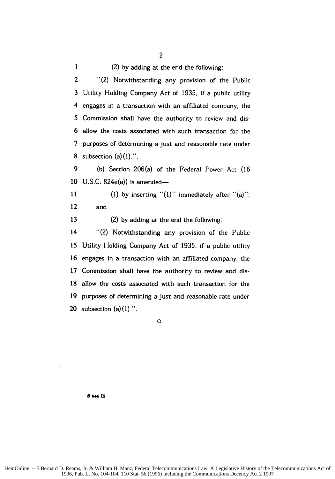**1** (2) by adding at the end the following:

2 "(2) Notwithstanding any provision of the Public 3 Utility Holding Company Act of 1935, if a public utility 4 engages in a transaction with an affiliated company, the 5 Commission shall have the authority to review and dis-6 allow the costs associated with such transaction for the 7 purposes of determining a just and reasonable rate under 8 subsection  $(a)(1)$ .".

9 (b) Section 206(a) of the Federal Power Act (16 10 U.S.C.  $824e(a)$ ) is amended-

11 (1) by inserting " $(1)$ " immediately after " $(a)$ "; 12 and

13 (2) by adding at the end the following:

14 "(2) Notwithstanding any provision of the Public 15 Utility Holding Company Act of 1935, if a public utility 16 engages in a transaction with an affiliated company, the 17 Commission shall have the authority to review and dis-18 allow the costs associated with such transaction for the 19 purposes of determining a just and reasonable rate under 20 subsection  $(a)(1)$ .".

**0**

**8 544 is**

HeinOnline -- 5 Bernard D. Reams, Jr. & William H. Manz, Federal Telecommunications Law: A Legislative History of the Telecommunications Act of 1996, Pub. L. No. 104-104, 110 Stat. 56 (1996) including the Communications Decency Act 2 1997

2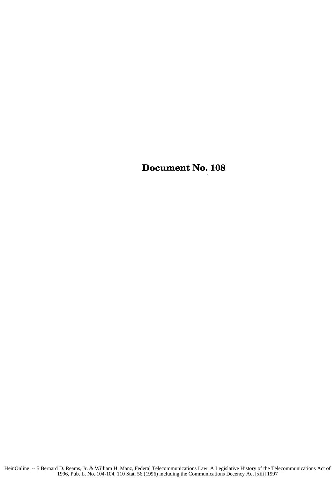Document No. **108**